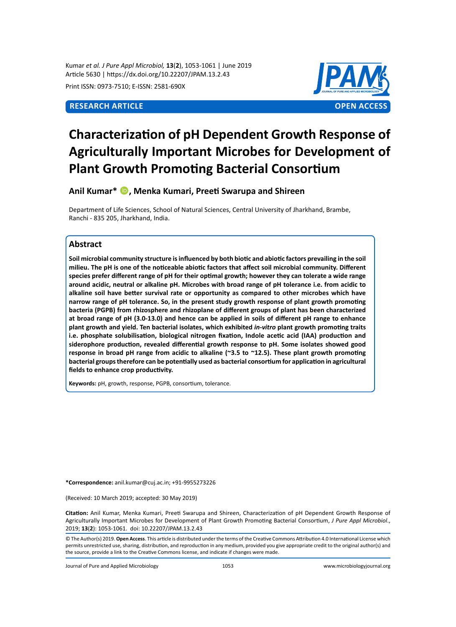Kumar *et al. J Pure Appl Microbiol,* **13**(**2**), 1053-1061 | June 2019 Article 5630 | https://dx.doi.org/10.22207/JPAM.13.2.43

Print ISSN: 0973-7510; E-ISSN: 2581-690X



# **Characterization of pH Dependent Growth Response of Agriculturally Important Microbes for Development of Plant Growth Promoting Bacterial Consortium**

**Anil Kumar\* , Menka Kumari, Preeti Swarupa and Shireen**

Department of Life Sciences, School of Natural Sciences, Central University of Jharkhand, Brambe, Ranchi - 835 205, Jharkhand, India.

# **Abstract**

**Soil microbial community structure is influenced by both biotic and abiotic factors prevailing in the soil milieu. The pH is one of the noticeable abiotic factors that affect soil microbial community. Different species prefer different range of pH for their optimal growth; however they can tolerate a wide range around acidic, neutral or alkaline pH. Microbes with broad range of pH tolerance i.e. from acidic to alkaline soil have better survival rate or opportunity as compared to other microbes which have narrow range of pH tolerance. So, in the present study growth response of plant growth promoting bacteria (PGPB) from rhizosphere and rhizoplane of different groups of plant has been characterized at broad range of pH (3.0-13.0) and hence can be applied in soils of different pH range to enhance plant growth and yield. Ten bacterial isolates, which exhibited** *in-vitro* **plant growth promoting traits i.e. phosphate solubilisation, biological nitrogen fixation, Indole acetic acid (IAA) production and siderophore production, revealed differential growth response to pH. Some isolates showed good response in broad pH range from acidic to alkaline (~3.5 to ~12.5). These plant growth promoting bacterial groups therefore can be potentially used as bacterial consortium for application in agricultural fields to enhance crop productivity.**

**Keywords:** pH, growth, response, PGPB, consortium, tolerance.

**\*Correspondence:** anil.kumar@cuj.ac.in; +91-9955273226

(Received: 10 March 2019; accepted: 30 May 2019)

**Citation:** Anil Kumar, Menka Kumari, Preeti Swarupa and Shireen, Characterization of pH Dependent Growth Response of Agriculturally Important Microbes for Development of Plant Growth Promoting Bacterial Consortium, *J Pure Appl Microbiol*., 2019; **13**(**2**): 1053-1061. doi: 10.22207/JPAM.13.2.43

© The Author(s) 2019. **Open Access**. This article is distributed under the terms of the Creative Commons Attribution 4.0 International License which permits unrestricted use, sharing, distribution, and reproduction in any medium, provided you give appropriate credit to the original author(s) and the source, provide a link to the Creative Commons license, and indicate if changes were made.

Journal of Pure and Applied Microbiology 1053 www.microbiologyjournal.org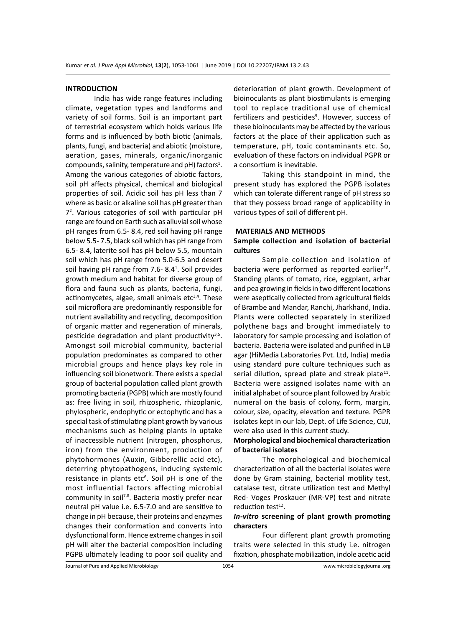# **INTRODUCTION**

India has wide range features including climate, vegetation types and landforms and variety of soil forms. Soil is an important part of terrestrial ecosystem which holds various life forms and is influenced by both biotic (animals, plants, fungi, and bacteria) and abiotic (moisture, aeration, gases, minerals, organic/inorganic compounds, salinity, temperature and  $pH$ ) factors<sup>1</sup>. Among the various categories of abiotic factors, soil pH affects physical, chemical and biological properties of soil. Acidic soil has pH less than 7 where as basic or alkaline soil has pH greater than 72 . Various categories of soil with particular pH range are found on Earth such as alluvial soil whose pH ranges from 6.5- 8.4, red soil having pH range below 5.5- 7.5, black soil which has pH range from 6.5- 8.4, laterite soil has pH below 5.5, mountain soil which has pH range from 5.0-6.5 and desert soil having pH range from 7.6-8.4<sup>1</sup>. Soil provides growth medium and habitat for diverse group of flora and fauna such as plants, bacteria, fungi, actinomycetes, algae, small animals etc $3,4$ . These soil microflora are predominantly responsible for nutrient availability and recycling, decomposition of organic matter and regeneration of minerals, pesticide degradation and plant productivity $3.5$ . Amongst soil microbial community, bacterial population predominates as compared to other microbial groups and hence plays key role in influencing soil bionetwork. There exists a special group of bacterial population called plant growth promoting bacteria (PGPB) which are mostly found as: free living in soil, rhizospheric, rhizoplanic, phylospheric, endophytic or ectophytic and has a special task of stimulating plant growth by various mechanisms such as helping plants in uptake of inaccessible nutrient (nitrogen, phosphorus, iron) from the environment, production of phytohormones (Auxin, Gibberellic acid etc), deterring phytopathogens, inducing systemic resistance in plants etc<sup>6</sup>. Soil pH is one of the most influential factors affecting microbial community in soil<sup>7,8</sup>. Bacteria mostly prefer near neutral pH value i.e. 6.5-7.0 and are sensitive to change in pH because, their proteins and enzymes changes their conformation and converts into dysfunctional form. Hence extreme changes in soil pH will alter the bacterial composition including PGPB ultimately leading to poor soil quality and

deterioration of plant growth. Development of bioinoculants as plant biostimulants is emerging tool to replace traditional use of chemical fertilizers and pesticides<sup>9</sup>. However, success of these bioinoculants may be affected by the various factors at the place of their application such as temperature, pH, toxic contaminants etc. So, evaluation of these factors on individual PGPR or a consortium is inevitable.

Taking this standpoint in mind, the present study has explored the PGPB isolates which can tolerate different range of pH stress so that they possess broad range of applicability in various types of soil of different pH.

### **MATERIALS AND METHODS**

# **Sample collection and isolation of bacterial cultures**

Sample collection and isolation of bacteria were performed as reported earlier<sup>10</sup>. Standing plants of tomato, rice, eggplant, arhar and pea growing in fields in two different locations were aseptically collected from agricultural fields of Brambe and Mandar, Ranchi, Jharkhand, India. Plants were collected separately in sterilized polythene bags and brought immediately to laboratory for sample processing and isolation of bacteria. Bacteria were isolated and purified in LB agar (HiMedia Laboratories Pvt. Ltd, India) media using standard pure culture techniques such as serial dilution, spread plate and streak plate $11$ . Bacteria were assigned isolates name with an initial alphabet of source plant followed by Arabic numeral on the basis of colony, form, margin, colour, size, opacity, elevation and texture. PGPR isolates kept in our lab, Dept. of Life Science, CUJ, were also used in this current study.

# **Morphological and biochemical characterization of bacterial isolates**

The morphological and biochemical characterization of all the bacterial isolates were done by Gram staining, bacterial motility test, catalase test, citrate utilization test and Methyl Red- Voges Proskauer (MR-VP) test and nitrate reduction test $12$ .

# *In-vitro* **screening of plant growth promoting characters**

Four different plant growth promoting traits were selected in this study i.e. nitrogen fixation, phosphate mobilization, indole acetic acid

Journal of Pure and Applied Microbiology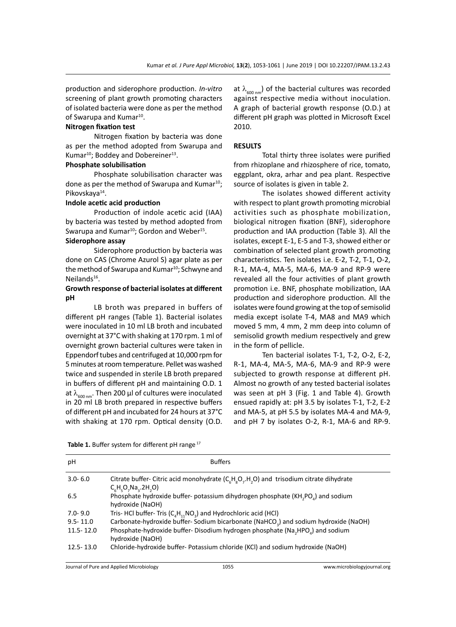production and siderophore production. *In-vitro* screening of plant growth promoting characters of isolated bacteria were done as per the method of Swarupa and Kumar<sup>10</sup>.

# **Nitrogen fixation test**

Nitrogen fixation by bacteria was done as per the method adopted from Swarupa and Kumar<sup>10</sup>; Boddey and Dobereiner<sup>13</sup>.

# **Phosphate solubilisation**

Phosphate solubilisation character was done as per the method of Swarupa and Kumar $^{10}$ ; Pikovskaya<sup>14</sup>.

### **Indole acetic acid production**

Production of indole acetic acid (IAA) by bacteria was tested by method adopted from Swarupa and Kumar<sup>10</sup>; Gordon and Weber<sup>15</sup>.

# **Siderophore assay**

Siderophore production by bacteria was done on CAS (Chrome Azurol S) agar plate as per the method of Swarupa and Kumar<sup>10</sup>; Schwyne and Neilands<sup>16</sup>.

# **Growth response of bacterial isolates at different pH**

LB broth was prepared in buffers of different pH ranges (Table 1). Bacterial isolates were inoculated in 10 ml LB broth and incubated overnight at 37°C with shaking at 170 rpm. 1 ml of overnight grown bacterial cultures were taken in Eppendorf tubes and centrifuged at 10,000 rpm for 5 minutes at room temperature. Pellet was washed twice and suspended in sterile LB broth prepared in buffers of different pH and maintaining O.D. 1 at  $\lambda_{600 \text{ nm}}$ . Then 200 µl of cultures were inoculated in 20 ml LB broth prepared in respective buffers of different pH and incubated for 24 hours at 37°C with shaking at 170 rpm. Optical density (O.D. at  $\lambda_{600 \text{ nm}}$ ) of the bacterial cultures was recorded against respective media without inoculation. A graph of bacterial growth response (O.D.) at different pH graph was plotted in Microsoft Excel 2010.

# **RESULTS**

Total thirty three isolates were purified from rhizoplane and rhizosphere of rice, tomato, eggplant, okra, arhar and pea plant. Respective source of isolates is given in table 2.

The isolates showed different activity with respect to plant growth promoting microbial activities such as phosphate mobilization, biological nitrogen fixation (BNF), siderophore production and IAA production (Table 3). All the isolates, except E-1, E-5 and T-3, showed either or combination of selected plant growth promoting characteristics. Ten isolates i.e. E-2, T-2, T-1, O-2, R-1, MA-4, MA-5, MA-6, MA-9 and RP-9 were revealed all the four activities of plant growth promotion i.e. BNF, phosphate mobilization, IAA production and siderophore production. All the isolates were found growing at the top of semisolid media except isolate T-4, MA8 and MA9 which moved 5 mm, 4 mm, 2 mm deep into column of semisolid growth medium respectively and grew in the form of pellicle.

Ten bacterial isolates T-1, T-2, O-2, E-2, R-1, MA-4, MA-5, MA-6, MA-9 and RP-9 were subjected to growth response at different pH. Almost no growth of any tested bacterial isolates was seen at pH 3 (Fig. 1 and Table 4). Growth ensued rapidly at: pH 3.5 by isolates T-1, T-2, E-2 and MA-5, at pH 5.5 by isolates MA-4 and MA-9, and pH 7 by isolates O-2, R-1, MA-6 and RP-9.

|  | Table 1. Buffer system for different pH range <sup>17</sup> |  |  |
|--|-------------------------------------------------------------|--|--|
|--|-------------------------------------------------------------|--|--|

| рH           | <b>Buffers</b>                                                                                                                             |
|--------------|--------------------------------------------------------------------------------------------------------------------------------------------|
| $3.0 - 6.0$  | Citrate buffer-Citric acid monohydrate ( $C_cH_sO_7$ .H <sub>2</sub> O) and trisodium citrate dihydrate<br>$C_{c}H_{c}O_{7}Na_{3}.2H_{2}O$ |
| 6.5          | Phosphate hydroxide buffer- potassium dihydrogen phosphate (KH, PO,) and sodium<br>hydroxide (NaOH)                                        |
| $7.0 - 9.0$  | Tris- HCl buffer- Tris $(C_A H_{11} NO_3)$ and Hydrochloric acid (HCl)                                                                     |
| $9.5 - 11.0$ | Carbonate-hydroxide buffer- Sodium bicarbonate (NaHCO <sub>2</sub> ) and sodium hydroxide (NaOH)                                           |
| 11.5-12.0    | Phosphate-hydroxide buffer-Disodium hydrogen phosphate (Na, HPO,) and sodium<br>hydroxide (NaOH)                                           |
| 12.5-13.0    | Chloride-hydroxide buffer- Potassium chloride (KCl) and sodium hydroxide (NaOH)                                                            |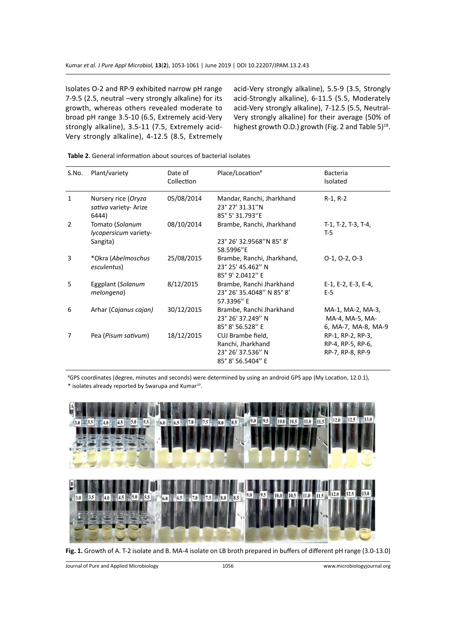Isolates O-2 and RP-9 exhibited narrow pH range 7-9.5 (2.5, neutral –very strongly alkaline) for its growth, whereas others revealed moderate to broad pH range 3.5-10 (6.5, Extremely acid-Very strongly alkaline), 3.5-11 (7.5, Extremely acid-Very strongly alkaline), 4-12.5 (8.5, Extremely acid-Very strongly alkaline), 5.5-9 (3.5, Strongly acid-Strongly alkaline), 6-11.5 (5.5, Moderately acid-Very strongly alkaline), 7-12.5 (5.5, Neutral-Very strongly alkaline) for their average (50% of highest growth O.D.) growth (Fig. 2 and Table 5)<sup>18</sup>.

|  | <b>Table 2.</b> General information about sources of bacterial isolates |
|--|-------------------------------------------------------------------------|
|--|-------------------------------------------------------------------------|

| S.No.         | Plant/variety                                         | Date of<br>Collection | Place/Location <sup>#</sup>                                                      | <b>Bacteria</b><br>Isolated                                 |
|---------------|-------------------------------------------------------|-----------------------|----------------------------------------------------------------------------------|-------------------------------------------------------------|
| $\mathbf{1}$  | Nursery rice (Oryza<br>sativa variety- Arize<br>6444) | 05/08/2014            | Mandar, Ranchi, Jharkhand<br>23° 27' 31.31"N<br>85° 5' 31.793"E                  | R-1, R-2                                                    |
| $\mathcal{P}$ | Tomato (Solanum<br>lycopersicum variety-              | 08/10/2014            | Brambe, Ranchi, Jharkhand                                                        | T-1, T-2, T-3, T-4,<br>T-5                                  |
|               | Sangita)                                              |                       | 23° 26' 32.9568"N 85° 8'<br>58.5996"E                                            |                                                             |
| 3             | *Okra (Abelmoschus<br>esculentus)                     | 25/08/2015            | Brambe, Ranchi, Jharkhand,<br>23° 25' 45.462" N<br>85° 9' 2.0412" E              | $0-1, 0-2, 0-3$                                             |
| 5             | Eggplant (Solanum<br>melongena)                       | 8/12/2015             | Brambe, Ranchi Jharkhand<br>23° 26' 35.4048" N 85° 8'<br>57.3396" E              | E-1, E-2, E-3, E-4,<br>$E-5$                                |
| 6             | Arhar (Cajanus cajan)                                 | 30/12/2015            | Brambe, Ranchi Jharkhand<br>23° 26' 37.249" N<br>85° 8' 56.528" E                | MA-1, MA-2, MA-3,<br>MA-4, MA-5, MA-<br>6, MA-7, MA-8, MA-9 |
| 7             | Pea (Pisum sativum)                                   | 18/12/2015            | CUJ Brambe field,<br>Ranchi, Jharkhand<br>23° 26' 37.536" N<br>85° 8' 56.5404" E | RP-1, RP-2, RP-3,<br>RP-4, RP-5, RP-6,<br>RP-7, RP-8, RP-9  |

# GPS coordinates (degree, minutes and seconds) were determined by using an android GPS app (My Location, 12.0.1), \* isolates already reported by Swarupa and Kumar<sup>10</sup>.



**Fig. 1.** Growth of A. T-2 isolate and B. MA-4 isolate on LB broth prepared in buffers of different pH range (3.0-13.0)

Journal of Pure and Applied Microbiology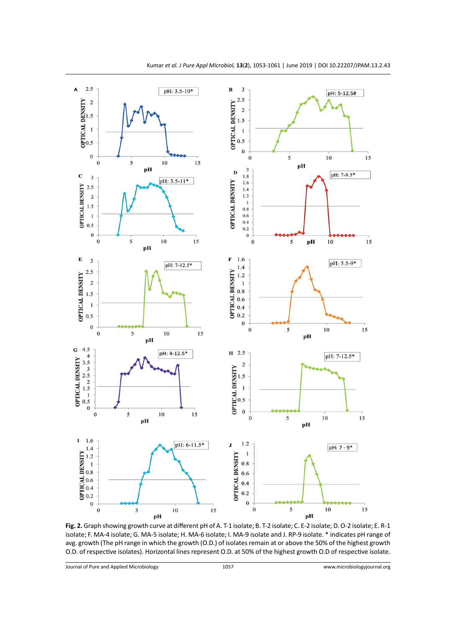

**Fig. 2.** Graph showing growth curve at different pH of A. T-1 isolate; B. T-2 isolate; C. E-2 isolate; D. O-2 isolate; E. R-1 isolate; F. MA-4 isolate; G. MA-5 isolate; H. MA-6 isolate; I. MA-9 isolate and J. RP-9 isolate. \* indicates pH range of avg. growth (The pH range in which the growth (O.D.) of isolates remain at or above the 50% of the highest growth O.D. of respective isolates). Horizontal lines represent O.D. at 50% of the highest growth O.D of respective isolate.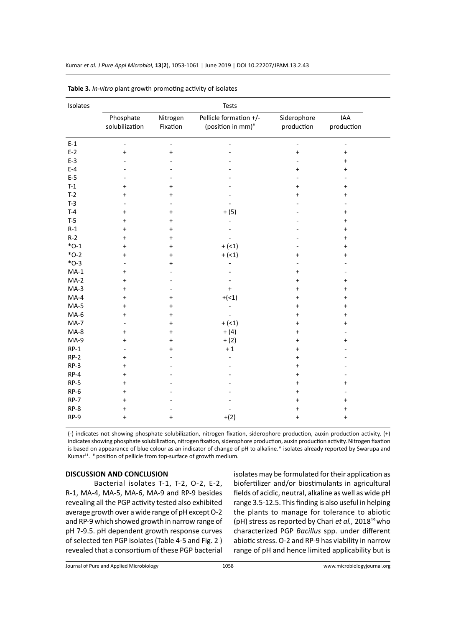| Isolates<br>Tests |                                  |                      |                                                         |                           |                   |  |
|-------------------|----------------------------------|----------------------|---------------------------------------------------------|---------------------------|-------------------|--|
|                   | Phosphate<br>solubilization      | Nitrogen<br>Fixation | Pellicle formation +/-<br>(position in mm) <sup>#</sup> | Siderophore<br>production | IAA<br>production |  |
| $E-1$             | $\bar{\phantom{a}}$              | ÷,                   |                                                         | $\blacksquare$            | ÷,                |  |
| $E-2$             | $\ddot{}$                        | $\ddot{}$            |                                                         | $\ddot{}$                 | $\ddot{}$         |  |
| $E-3$             |                                  |                      |                                                         |                           | $\ddot{}$         |  |
| $E-4$             |                                  |                      |                                                         | $\ddot{}$                 | $\ddot{}$         |  |
| $E-5$             |                                  |                      |                                                         |                           |                   |  |
| $T-1$             | $\ddot{}$                        | +                    |                                                         | +                         | $\ddot{}$         |  |
| $T-2$             | $\ddot{}$                        | +                    |                                                         | $\ddot{}$                 | $\ddot{}$         |  |
| $T-3$             |                                  |                      |                                                         |                           |                   |  |
| $T-4$             | $\ddot{}$                        | +                    | $+ (5)$                                                 |                           | $\ddot{}$         |  |
| $T-5$             | $\ddot{}$                        | $\ddot{}$            |                                                         |                           | $\ddot{}$         |  |
| $R-1$             | $\ddot{}$                        | $\ddot{}$            |                                                         |                           | $\ddot{}$         |  |
| $R-2$             | $\ddot{}$                        | +                    |                                                         |                           | +                 |  |
| $*O-1$            | $\ddot{}$                        | $\ddot{}$            | $+$ (<1)                                                |                           | $\ddot{}$         |  |
| $*O-2$            | +                                | $\ddot{}$            | $+$ (<1)                                                | $\ddot{}$                 | $\ddot{}$         |  |
| $*O-3$            |                                  | +                    |                                                         |                           |                   |  |
| $MA-1$            | $\ddot{}$                        |                      |                                                         | $\ddot{}$                 |                   |  |
| $MA-2$            | $\ddot{}$                        |                      |                                                         | $\ddot{}$                 | $\ddot{}$         |  |
| $MA-3$            | $\ddot{}$                        |                      | $\ddot{}$                                               | +                         | $\ddot{}$         |  |
| $MA-4$            | $\ddot{}$                        | +                    | $+(<1)$                                                 | $\ddot{}$                 | $\ddot{}$         |  |
| $MA-5$            | $\ddot{}$                        | +                    |                                                         | $\ddot{}$                 | $\ddot{}$         |  |
| $MA-6$            | $\ddot{}$                        | +                    |                                                         | $\ddot{}$                 | $\ddot{}$         |  |
| $MA-7$            |                                  | $\ddot{}$            | $+$ (<1)                                                | $\ddot{}$                 | $\ddot{}$         |  |
| $MA-8$            | $\ddot{}$                        | $\ddot{}$            | $+ (4)$                                                 | +                         |                   |  |
| $MA-9$            | $\ddot{}$                        | +                    | $+ (2)$                                                 | +                         | +                 |  |
| $RP-1$            |                                  | +                    | $+1$                                                    | $\ddot{}$                 |                   |  |
| $RP-2$            | $\begin{array}{c} + \end{array}$ |                      |                                                         | $\ddot{}$                 |                   |  |
| $RP-3$            | $\begin{array}{c} + \end{array}$ |                      |                                                         | $\ddot{}$                 |                   |  |
| $RP-4$            | $\ddot{}$                        |                      |                                                         | $\ddot{}$                 |                   |  |
| $RP-5$            | $\ddot{}$                        |                      |                                                         | $\ddot{}$                 | $\ddot{}$         |  |
| RP-6              | $\ddot{}$                        |                      |                                                         | $\ddot{}$                 |                   |  |
| $RP-7$            | $\ddot{}$                        |                      |                                                         | $\ddot{}$                 | $\ddot{}$         |  |
| RP-8              | $\ddot{}$                        |                      |                                                         | $\ddot{}$                 | $\ddot{}$         |  |
| RP-9              | $\ddot{}$                        | $+$                  | $+(2)$                                                  | $\ddot{}$                 | $\ddot{}$         |  |

**Table 3.** *In-vitro* plant growth promoting activity of isolates

(-) indicates not showing phosphate solubilization, nitrogen fixation, siderophore production, auxin production activity, (+) indicates showing phosphate solubilization, nitrogen fixation, siderophore production, auxin production activity. Nitrogen fixation is based on appearance of blue colour as an indicator of change of pH to alkaline.\* isolates already reported by Swarupa and Kumar<sup>11</sup>. <sup>#</sup> position of pellicle from top-surface of growth medium.

# **DISCUSSION AND CONCLUSION**

Bacterial isolates T-1, T-2, O-2, E-2, R-1, MA-4, MA-5, MA-6, MA-9 and RP-9 besides revealing all the PGP activity tested also exhibited average growth over a wide range of pH except O-2 and RP-9 which showed growth in narrow range of pH 7-9.5. pH dependent growth response curves of selected ten PGP isolates (Table 4-5 and Fig. 2 ) revealed that a consortium of these PGP bacterial isolates may be formulated for their application as biofertilizer and/or biostimulants in agricultural fields of acidic, neutral, alkaline as well as wide pH range 3.5-12.5. This finding is also useful in helping the plants to manage for tolerance to abiotic (pH) stress as reported by Chari et al., 2018<sup>19</sup> who characterized PGP *Bacillus* spp. under different abiotic stress. O-2 and RP-9 has viability in narrow range of pH and hence limited applicability but is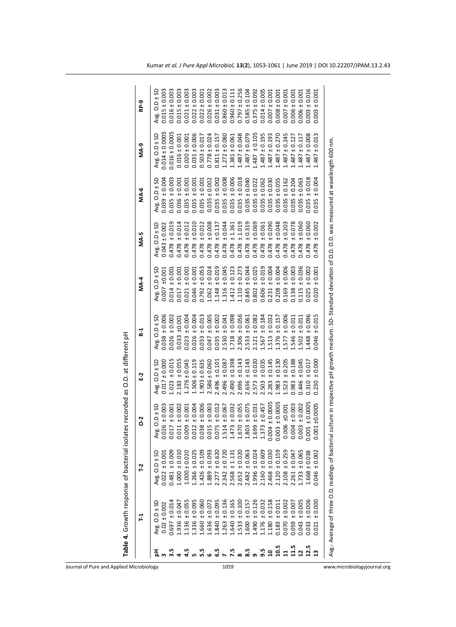|                         | Table 4. Growth response of bacterial iso       |                   |                   | lates recorded as O.D. at different pH |                   |                                                                                                                   |                                  |                   |                      |                   |
|-------------------------|-------------------------------------------------|-------------------|-------------------|----------------------------------------|-------------------|-------------------------------------------------------------------------------------------------------------------|----------------------------------|-------------------|----------------------|-------------------|
|                         | 문                                               | r <sub>2</sub>    | 3<br>0            | E2                                     | R <sub>1</sub>    | <b>MA-4</b>                                                                                                       | MA-5                             | <b>MA-6</b>       | <b>MA-9</b>          | RP-9              |
|                         | Avg. $O.D \pm SD$                               | Avg. O.D ± SD     | Avg. $O.D \pm SD$ | Avg. $O.D \pm SD$                      | Avg. $O.D \pm SD$ | Avg. $O.D \pm SD$                                                                                                 | Avg. $O.D \pm SD$                | Avg. $O.D \pm SD$ | Avg. $O.D \pm SD$    | Avg. $O.D \pm SD$ |
|                         | $0.02 \pm 0.002$                                | $0.022 \pm 0.001$ | $0.026 \pm 0.003$ | $0.017 \pm 0.000$                      | $0.038 \pm 0.006$ | $0.007 + 0.001$                                                                                                   | $0.043 \pm 0.002$                | $0.039 \pm 0.004$ | $0.014 \pm 0.0005$   | $0.015 \pm 0.003$ |
| 3.5                     | $0.697 \pm 0.014$                               | $0.481 \pm 0.009$ | 10.001<br>0.017   | ±0.015<br>1.023                        | ± 0.002<br>0.026  | 10001<br>0.014                                                                                                    | ±0.019<br>0.478                  | ±0.003<br>0.035   | $0.016 \pm 0.0005$   | $0.016 \pm 0.003$ |
|                         | $1.936 \pm 0.047$                               | $0.000 \pm 0.010$ | ± 0.002<br>0.011  | ± 0.055<br>2.183                       | ±0.001<br>0.033   | 100.001<br>0.017                                                                                                  | ±0.014<br>0.478                  | ±0.001<br>0.036   | $0.016 \pm 0.001$    | $0.015 \pm 0.003$ |
|                         | $1.136 \pm 0.055$                               | $1.000 \pm 0.020$ | 10.001<br>0.009   | $1.276 \pm 0.045$                      | 100.004<br>0.023  | 100.001<br>0.021                                                                                                  | ±0.012<br>0.478                  | 10001<br>0.035    | $0.020 \pm 0.001$    | $0.021 \pm 0.003$ |
|                         | $1.336 \pm 0.095$                               | $1.266 \pm 0.025$ | 10.004<br>1.012   | $1.506 \pm 0.119$                      | 100.004<br>0.026  | 100.001<br>0.046                                                                                                  | ±0.010<br>0.478                  | ±0.001<br>0.035   | $0.031 \pm 0.006$    | $0.022 \pm 0.003$ |
|                         | $1.660 \pm 0.060$                               | $1.426 \pm 0.109$ | ± 0.006<br>0.038  | $1.903 \pm 0.635$                      | ± 0.013<br>0.033  | ± 0.053<br>0.792                                                                                                  | ±0.012<br>0.478                  | 100.01<br>0.035   | $0.503 \pm 0.017$    | $0.022 \pm 0.001$ |
|                         | $1.636 \pm 0.072$                               | ±0.093<br>1.889   | ±0.003<br>1.015   | $2.586 \pm 0.060$                      | ± 0.005<br>0.047  | ± 0.024<br>1.062                                                                                                  | ± 0.008<br>0.478                 | $0.035 \pm 0.002$ | $0.778 \pm 0.024$    | $0.026 \pm 0.002$ |
|                         | $1.840 \pm 0.095$                               | $2.277 \pm 0.620$ | ± 0.012<br>0.075  | $2.496 \pm 0.101$                      | ± 0.002<br>0.035  | ± 0.019<br>1.148                                                                                                  | ± 0.137<br>0.478                 | $0.035 \pm 0.002$ | $0.811 \pm 0.157$    | $0.031 \pm 0.003$ |
|                         | $1.263 \pm 0.136$                               | $2.342 \pm 0.720$ | ± 0.067<br>.514   | ± 0.087<br>2.496                       | ± 0.041<br>2.530  | ± 0.045<br>1.316                                                                                                  | ± 0.044<br>0.478                 | ± 0.008<br>0.035  | $1.272 \pm 0.080$    | $0.860 \pm 0.013$ |
| 7.5                     | $1.640 \pm 0.165$                               | $2.568 \pm 1.13$  | ± 0.032<br>.473   | ± 0.398<br>2.490                       | ± 0.098<br>1.718  | ± 0.123<br>1.412                                                                                                  | 1.361<br>$+1$<br>0.478           | ± 0.006<br>0.035  | $1.381 \pm 0.061$    | $0.960 \pm 0.111$ |
|                         | $1.533 \pm 0.100$                               | $2.652 \pm 0.020$ | ± 0.055<br>1.670  | ± 0.143<br>2.696                       | ± 0.056<br>2.306  | ± 0.273<br>1.110                                                                                                  | ±1.019<br>0.478                  | $0.035 \pm 0.018$ | $1.487 \pm 0.048$    | $0.797 \pm 0.256$ |
|                         | $1.600 \pm 0.15$                                | $2.482 \pm 0.063$ | ± 0.075<br>1.803  | 0.143<br>$+1$<br>2.636                 | ± 0.061<br>2.533  | ± 0.044<br>0.845                                                                                                  | ± 0.319<br>0.478                 | $0.035 \pm 0.040$ | $0.071487 \pm 0.079$ | $0.585 \pm 0.104$ |
|                         | $1.490 \pm 0.126$                               | $1.996 \pm 0.024$ | ± 0.031<br>1.699  | ± 0.020<br>573                         | ± 0.082<br>2.121  | ± 0.025<br>0.802                                                                                                  | ± 0.069<br>0.478                 | $0.035 \pm 0.022$ | $1.487 \pm 0.105$    | $0.375 \pm 0.092$ |
| 9.5                     | $1.176 \pm 0.032$                               | $2.160 \pm 0.609$ | ± 0.457<br>1.373  | 0.035<br>$+1$<br>2.503                 | ± 0.184<br>1.567  | ± 0.019<br>0.606                                                                                                  | ± 0.061<br>0.478                 | $0.035 \pm 0.062$ | $1.487 \pm 0.195$    | $0.014 \pm 0.005$ |
| $\overline{\mathbf{a}}$ | $1.180 \pm 0.158$                               | $2.468 \pm 0.030$ | $.004 \pm 0.0005$ | 0.145<br>2.283                         | ± 0.032<br>1.513  | ± 0.004<br>0.231                                                                                                  | 0.090<br>$+1$<br>0.478           | $0.035 \pm 0.030$ | $1.487 \pm 0.193$    | $0.007 \pm 0.002$ |
| <b>Sima</b><br>Sima     | $0.183 \pm 0.011$                               | $2.120 \pm 0.159$ | ±0.0005<br>003    | 0.130<br>1.983                         | ± 0.157<br>1.376  | ± 0.004<br>0.208                                                                                                  | 0.048<br>$\overline{+}$<br>0.478 | $0.035 \pm 0.055$ | $1.487 \pm 0.270$    | $0.008 \pm 0.001$ |
|                         | $0.070 \pm 0.002$                               | $2.108 \pm 0.259$ | $0.006 + 0.001$   | 0.205<br>1.523                         | ± 0.006<br>1.577  | ± 0.006<br>0.169                                                                                                  | ± 0.203<br>0.478                 | $0.035 \pm 0.162$ | $1.487 \pm 0.245$    | $0.007 \pm 0.002$ |
|                         | $0.059 \pm 0.007$                               | $.261 \pm 0.047$  | $0.004 \pm 0.003$ | 0.188<br>0.983                         | ± 0.011<br>546    | ± 0.003<br>0.138                                                                                                  | ± 0.078<br>0.478                 | $0.035 \pm 0.204$ | $1.487 \pm 0.127$    | $0.006 \pm 0.001$ |
|                         | $0.043 \pm 0.005$                               | $.733 \pm 0.065$  | ± 0.002<br>0.003  | 0.045<br>.446                          | ± 0.011<br>1.502  | ± 0.036<br>0.115                                                                                                  | 0.060<br>$+1$<br>0.478           | $0.035 \pm 0.063$ | $1.487 \pm 0.117$    | $0.006 \pm 0.001$ |
|                         | $0.033 \pm 0.006$                               | $.668 \pm 0.038$  | $005 \pm 0.0005$  | 0.017<br>$\pm$<br>0.310                | ± 0.096<br>1.448  | ± 0.002<br>0.025                                                                                                  | ± 0.060<br>0.478                 | ± 0.018<br>0.035  | $.487 \pm 0.008$     | $0.003 \pm 0.016$ |
|                         | ± 0.000<br>0.021                                | $0.046 \pm 0.002$ | ±0.0005<br>0.001  | ± 0.000<br>0.230                       | ± 0.015<br>0.046  | ± 0.001<br>0.020                                                                                                  | 0.002<br>$+1$<br>0.478           | 100.004<br>0.035  | $1.487 \pm 0.013$    | $0.003 \pm 0.001$ |
|                         | Avg.- Average of three O.D. readings of bacteri |                   |                   |                                        |                   | al culture in respective pH growth medium. SD- Standard deviation of O.D. O.D. was measured at wavelength 600 nm. |                                  |                   |                      |                   |
|                         |                                                 |                   |                   |                                        |                   |                                                                                                                   |                                  |                   |                      |                   |

Journal of Pure and Applied Microbiology 1059 www.microbiologyjournal.org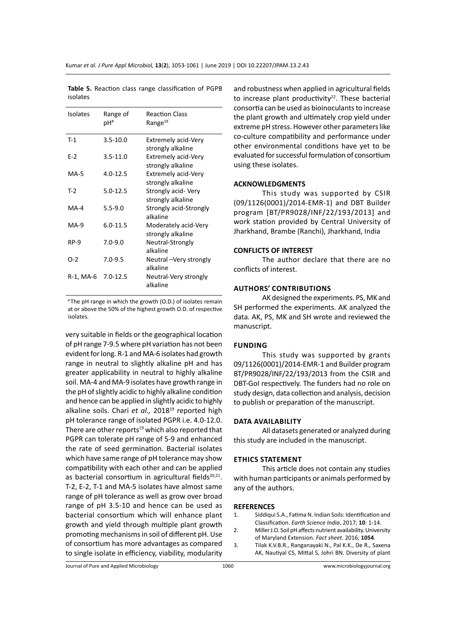| Isolates  | Range of<br>pH# | <b>Reaction Class</b><br>Range $^{18}$          |
|-----------|-----------------|-------------------------------------------------|
| T-1       | $3.5 - 10.0$    | <b>Extremely acid-Very</b><br>strongly alkaline |
| $E-2$     | $3.5 - 11.0$    | <b>Extremely acid-Very</b><br>strongly alkaline |
| MA-5      | $4.0 - 12.5$    | <b>Extremely acid-Very</b><br>strongly alkaline |
| $T-2$     | $5.0 - 12.5$    | Strongly acid-Very<br>strongly alkaline         |
| MA-4      | $5.5 - 9.0$     | Strongly acid-Strongly<br>alkaline              |
| MA-9      | $6.0 - 11.5$    | Moderately acid-Very<br>strongly alkaline       |
| RP-9      | $7.0 - 9.0$     | Neutral-Strongly<br>alkaline                    |
| $O-2$     | $7.0 - 9.5$     | Neutral - Very strongly<br>alkaline             |
| R-1, MA-6 | $7.0 - 12.5$    | Neutral-Very strongly<br>alkaline               |

**Table 5.** Reaction class range classification of PGPB isolates

# The pH range in which the growth (O.D.) of isolates remain at or above the 50% of the highest growth O.D. of respective isolates.

very suitable in fields or the geographical location of pH range 7-9.5 where pH variation has not been evident for long. R-1 and MA-6 isolates had growth range in neutral to slightly alkaline pH and has greater applicability in neutral to highly alkaline soil. MA-4 and MA-9 isolates have growth range in the pH of slightly acidic to highly alkaline condition and hence can be applied in slightly acidic to highly alkaline soils. Chari et al., 2018<sup>19</sup> reported high pH tolerance range of isolated PGPR i.e. 4.0-12.0. There are other reports $19$  which also reported that PGPR can tolerate pH range of 5-9 and enhanced the rate of seed germination. Bacterial isolates which have same range of pH tolerance may show compatibility with each other and can be applied as bacterial consortium in agricultural fields<sup>20,21</sup>. T-2, E-2, T-1 and MA-5 isolates have almost same range of pH tolerance as well as grow over broad range of pH 3.5-10 and hence can be used as bacterial consortium which will enhance plant growth and yield through multiple plant growth promoting mechanisms in soil of different pH. Use of consortium has more advantages as compared to single isolate in efficiency, viability, modularity and robustness when applied in agricultural fields to increase plant productivity $22$ . These bacterial consortia can be used as bioinoculants to increase the plant growth and ultimately crop yield under extreme pH stress. However other parameters like co-culture compatibility and performance under other environmental conditions have yet to be evaluated for successful formulation of consortium using these isolates.

# **ACKNOWLEDGMENTS**

This study was supported by CSIR (09/1126(0001)/2014-EMR-1) and DBT Builder program [BT/PR9028/INF/22/193/2013] and work station provided by Central University of Jharkhand, Brambe (Ranchi), Jharkhand, India

### **CONFLICTS OF INTEREST**

The author declare that there are no conflicts of interest.

# **Authors' Contributions**

AK designed the experiments. PS, MK and SH performed the experiments. AK analyzed the data. AK, PS, MK and SH wrote and reviewed the manuscript.

### **Funding**

This study was supported by grants 09/1126(0001)/2014-EMR-1 and Builder program BT/PR9028/INF/22/193/2013 from the CSIR and DBT-GoI respectively. The funders had no role on study design, data collection and analysis, decision to publish or preparation of the manuscript.

# **Data Availability**

All datasets generated or analyzed during this study are included in the manuscript.

# **Ethics Statement**

This article does not contain any studies with human participants or animals performed by any of the authors.

### **REFERENCES**

- 1. Siddiqui S.A., Fatima N. Indian Soils: Identification and Classification. *Earth Science India*, 2017; **10**: 1-14.
- 2. Miller J.O. Soil pH affects nutrient availability. University of Maryland Extension. *Fact sheet*. 2016; **1054**.
- 3. Tilak K.V.B.R., Ranganayaki N., Pal K.K., De R., Saxena AK, Nautiyal CS, Mittal S, Johri BN. Diversity of plant